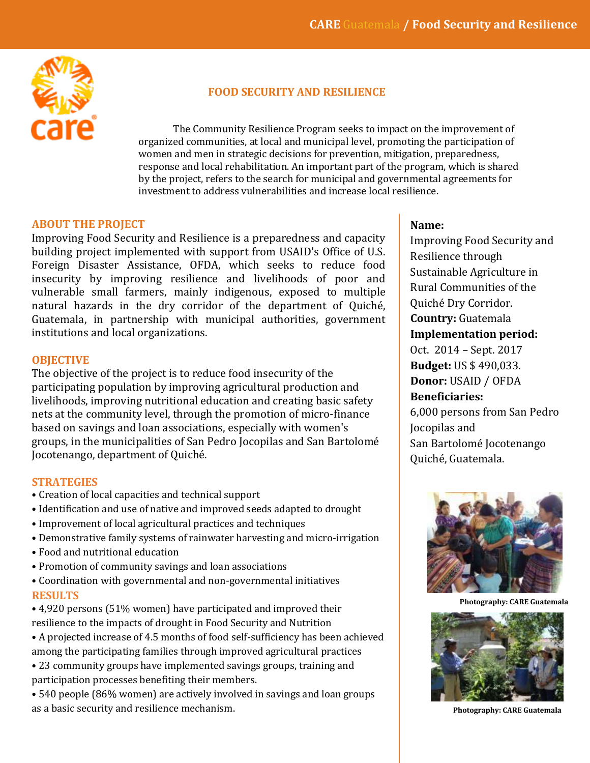

## **FOOD SECURITY AND RESILIENCE**

The Community Resilience Program seeks to impact on the improvement of organized communities, at local and municipal level, promoting the participation of women and men in strategic decisions for prevention, mitigation, preparedness, response and local rehabilitation. An important part of the program, which is shared by the project, refers to the search for municipal and governmental agreements for investment to address vulnerabilities and increase local resilience.

## **ABOUT THE PROJECT**

Improving Food Security and Resilience is a preparedness and capacity building project implemented with support from USAID's Office of U.S. Foreign Disaster Assistance, OFDA, which seeks to reduce food insecurity by improving resilience and livelihoods of poor and vulnerable small farmers, mainly indigenous, exposed to multiple natural hazards in the dry corridor of the department of Quiché, Guatemala, in partnership with municipal authorities, government institutions and local organizations.

## **OBJECTIVE**

The objective of the project is to reduce food insecurity of the participating population by improving agricultural production and livelihoods, improving nutritional education and creating basic safety nets at the community level, through the promotion of micro-finance based on savings and loan associations, especially with women's groups, in the municipalities of San Pedro Jocopilas and San Bartolomé Jocotenango, department of Quiché.

## **STRATEGIES**

- Creation of local capacities and technical support
- Identification and use of native and improved seeds adapted to drought
- Improvement of local agricultural practices and techniques
- Demonstrative family systems of rainwater harvesting and micro-irrigation
- Food and nutritional education
- Promotion of community savings and loan associations
- Coordination with governmental and non-governmental initiatives **RESULTS**
- 4,920 persons (51% women) have participated and improved their resilience to the impacts of drought in Food Security and Nutrition
- A projected increase of 4.5 months of food self-sufficiency has been achieved among the participating families through improved agricultural practices
- 23 community groups have implemented savings groups, training and participation processes benefiting their members.

• 540 people (86% women) are actively involved in savings and loan groups as a basic security and resilience mechanism.

## **Name:**

Improving Food Security and Resilience through Sustainable Agriculture in Rural Communities of the Quiché Dry Corridor. **Country:** Guatemala **Implementation period:** Oct. 2014 – Sept. 2017 **Budget:** US \$ 490,033. **Donor:** USAID / OFDA **Beneficiaries:** 6,000 persons from San Pedro Jocopilas and

San Bartolomé Jocotenango Quiché, Guatemala.



**Photography: CARE Guatemala**



 **Photography: CARE Guatemala**